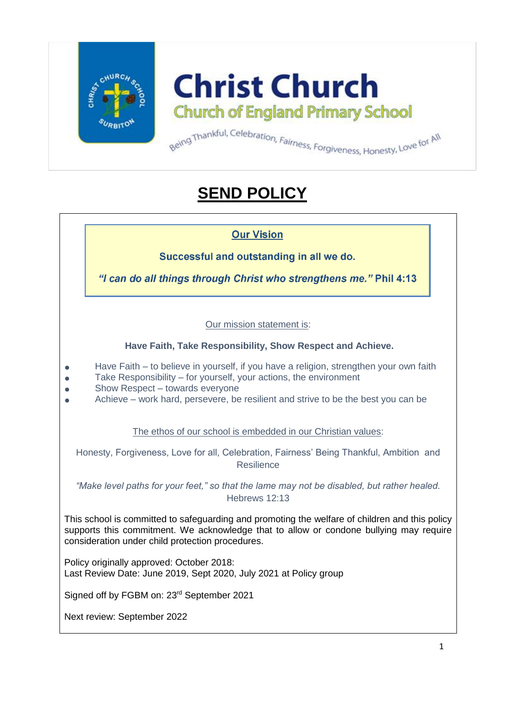

**Christ Church Church of England Primary School** 

# **SEND POLICY**

**Our Vision** 

Successful and outstanding in all we do.

"I can do all things through Christ who strengthens me." Phil 4:13

Our mission statement is:

**Have Faith, Take Responsibility, Show Respect and Achieve.** 

- Have Faith to believe in yourself, if you have a religion, strengthen your own faith
- Take Responsibility for yourself, your actions, the environment
- $\bullet$  Show Respect towards everyone
- Achieve work hard, persevere, be resilient and strive to be the best you can be

The ethos of our school is embedded in our Christian values:

Honesty, Forgiveness, Love for all, Celebration, Fairness' Being Thankful, Ambition and Resilience

*"Make level paths for your feet," so that the lame may not be disabled, but rather healed.* Hebrews 12:13

This school is committed to safeguarding and promoting the welfare of children and this policy supports this commitment. We acknowledge that to allow or condone bullying may require consideration under child protection procedures.

Policy originally approved: October 2018: Last Review Date: June 2019, Sept 2020, July 2021 at Policy group

Signed off by FGBM on: 23<sup>rd</sup> September 2021

Next review: September 2022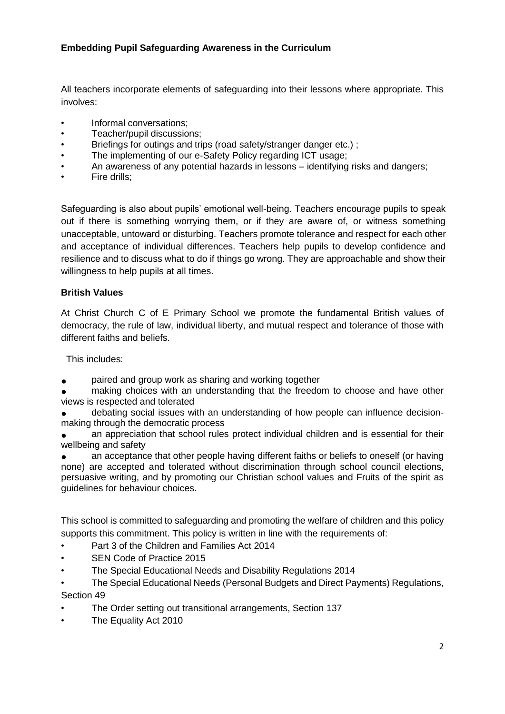## **Embedding Pupil Safeguarding Awareness in the Curriculum**

All teachers incorporate elements of safeguarding into their lessons where appropriate. This involves:

- Informal conversations;
- Teacher/pupil discussions;
- Briefings for outings and trips (road safety/stranger danger etc.) ;
- The implementing of our e-Safety Policy regarding ICT usage;
- An awareness of any potential hazards in lessons identifying risks and dangers;
- Fire drills;

Safeguarding is also about pupils' emotional well-being. Teachers encourage pupils to speak out if there is something worrying them, or if they are aware of, or witness something unacceptable, untoward or disturbing. Teachers promote tolerance and respect for each other and acceptance of individual differences. Teachers help pupils to develop confidence and resilience and to discuss what to do if things go wrong. They are approachable and show their willingness to help pupils at all times.

#### **British Values**

At Christ Church C of E Primary School we promote the fundamental British values of democracy, the rule of law, individual liberty, and mutual respect and tolerance of those with different faiths and beliefs.

This includes:

paired and group work as sharing and working together

making choices with an understanding that the freedom to choose and have other views is respected and tolerated

debating social issues with an understanding of how people can influence decisionmaking through the democratic process

an appreciation that school rules protect individual children and is essential for their wellbeing and safety

an acceptance that other people having different faiths or beliefs to oneself (or having none) are accepted and tolerated without discrimination through school council elections, persuasive writing, and by promoting our Christian school values and Fruits of the spirit as guidelines for behaviour choices.

This school is committed to safeguarding and promoting the welfare of children and this policy supports this commitment. This policy is written in line with the requirements of:

- Part 3 of the Children and Families Act 2014
- SEN Code of Practice 2015
- The Special Educational Needs and Disability Regulations 2014
- The Special Educational Needs (Personal Budgets and Direct Payments) Regulations, Section 49
- The Order setting out transitional arrangements, Section 137
- The Equality Act 2010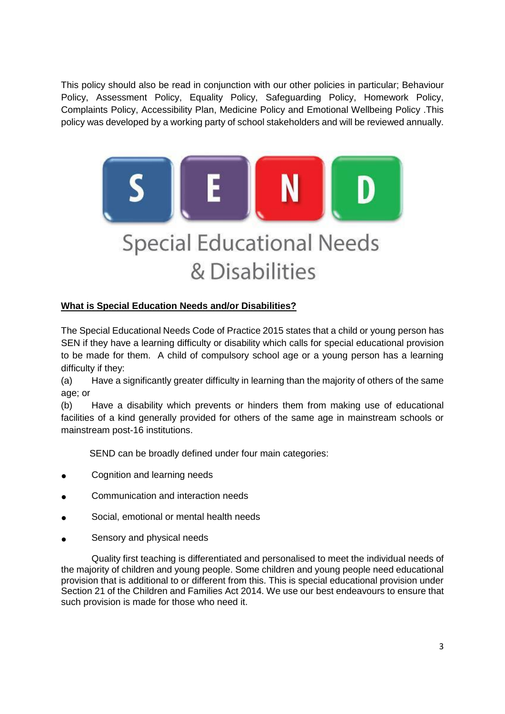This policy should also be read in conjunction with our other policies in particular; Behaviour Policy, Assessment Policy, Equality Policy, Safeguarding Policy, Homework Policy, Complaints Policy, Accessibility Plan, Medicine Policy and Emotional Wellbeing Policy .This policy was developed by a working party of school stakeholders and will be reviewed annually.



# **What is Special Education Needs and/or Disabilities?**

The Special Educational Needs Code of Practice 2015 states that a child or young person has SEN if they have a learning difficulty or disability which calls for special educational provision to be made for them. A child of compulsory school age or a young person has a learning difficulty if they:

(a) Have a significantly greater difficulty in learning than the majority of others of the same age; or

(b) Have a disability which prevents or hinders them from making use of educational facilities of a kind generally provided for others of the same age in mainstream schools or mainstream post-16 institutions.

SEND can be broadly defined under four main categories:

- Cognition and learning needs
- Communication and interaction needs
- Social, emotional or mental health needs
- Sensory and physical needs

Quality first teaching is differentiated and personalised to meet the individual needs of the majority of children and young people. Some children and young people need educational provision that is additional to or different from this. This is special educational provision under Section 21 of the Children and Families Act 2014. We use our best endeavours to ensure that such provision is made for those who need it.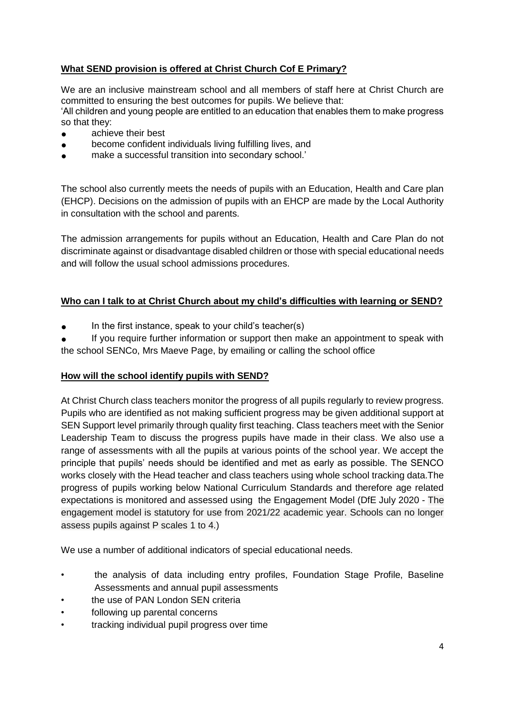# **What SEND provision is offered at Christ Church Cof E Primary?**

We are an inclusive mainstream school and all members of staff here at Christ Church are committed to ensuring the best outcomes for pupils. We believe that: 'All children and young people are entitled to an education that enables them to make progress so that they:

- achieve their best
- become confident individuals living fulfilling lives, and
- make a successful transition into secondary school.'

The school also currently meets the needs of pupils with an Education, Health and Care plan (EHCP). Decisions on the admission of pupils with an EHCP are made by the Local Authority in consultation with the school and parents.

The admission arrangements for pupils without an Education, Health and Care Plan do not discriminate against or disadvantage disabled children or those with special educational needs and will follow the usual school admissions procedures.

# **Who can I talk to at Christ Church about my child's difficulties with learning or SEND?**

In the first instance, speak to your child's teacher(s)

If you require further information or support then make an appointment to speak with the school SENCo, Mrs Maeve Page, by emailing or calling the school office

# **How will the school identify pupils with SEND?**

At Christ Church class teachers monitor the progress of all pupils regularly to review progress. Pupils who are identified as not making sufficient progress may be given additional support at SEN Support level primarily through quality first teaching. Class teachers meet with the Senior Leadership Team to discuss the progress pupils have made in their class. We also use a range of assessments with all the pupils at various points of the school year. We accept the principle that pupils' needs should be identified and met as early as possible. The SENCO works closely with the Head teacher and class teachers using whole school tracking data.The progress of pupils working below National Curriculum Standards and therefore age related expectations is monitored and assessed using the Engagement Model (DfE July 2020 - The engagement model is statutory for use from 2021/22 academic year. Schools can no longer assess pupils against P scales 1 to 4.)

We use a number of additional indicators of special educational needs.

- the analysis of data including entry profiles, Foundation Stage Profile, Baseline Assessments and annual pupil assessments
- the use of PAN London SEN criteria
- following up parental concerns
- tracking individual pupil progress over time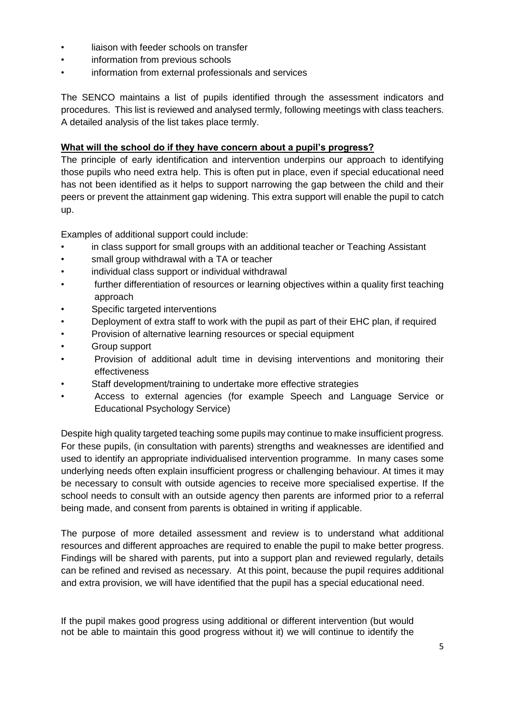- liaison with feeder schools on transfer
- information from previous schools
- information from external professionals and services

The SENCO maintains a list of pupils identified through the assessment indicators and procedures. This list is reviewed and analysed termly, following meetings with class teachers. A detailed analysis of the list takes place termly.

#### **What will the school do if they have concern about a pupil's progress?**

The principle of early identification and intervention underpins our approach to identifying those pupils who need extra help. This is often put in place, even if special educational need has not been identified as it helps to support narrowing the gap between the child and their peers or prevent the attainment gap widening. This extra support will enable the pupil to catch up.

Examples of additional support could include:

- in class support for small groups with an additional teacher or Teaching Assistant
- small group withdrawal with a TA or teacher
- individual class support or individual withdrawal
- further differentiation of resources or learning objectives within a quality first teaching approach
- Specific targeted interventions
- Deployment of extra staff to work with the pupil as part of their EHC plan, if required
- Provision of alternative learning resources or special equipment
- Group support
- Provision of additional adult time in devising interventions and monitoring their effectiveness
- Staff development/training to undertake more effective strategies
- Access to external agencies (for example Speech and Language Service or Educational Psychology Service)

Despite high quality targeted teaching some pupils may continue to make insufficient progress. For these pupils, (in consultation with parents) strengths and weaknesses are identified and used to identify an appropriate individualised intervention programme. In many cases some underlying needs often explain insufficient progress or challenging behaviour. At times it may be necessary to consult with outside agencies to receive more specialised expertise. If the school needs to consult with an outside agency then parents are informed prior to a referral being made, and consent from parents is obtained in writing if applicable.

The purpose of more detailed assessment and review is to understand what additional resources and different approaches are required to enable the pupil to make better progress. Findings will be shared with parents, put into a support plan and reviewed regularly, details can be refined and revised as necessary. At this point, because the pupil requires additional and extra provision, we will have identified that the pupil has a special educational need.

If the pupil makes good progress using additional or different intervention (but would not be able to maintain this good progress without it) we will continue to identify the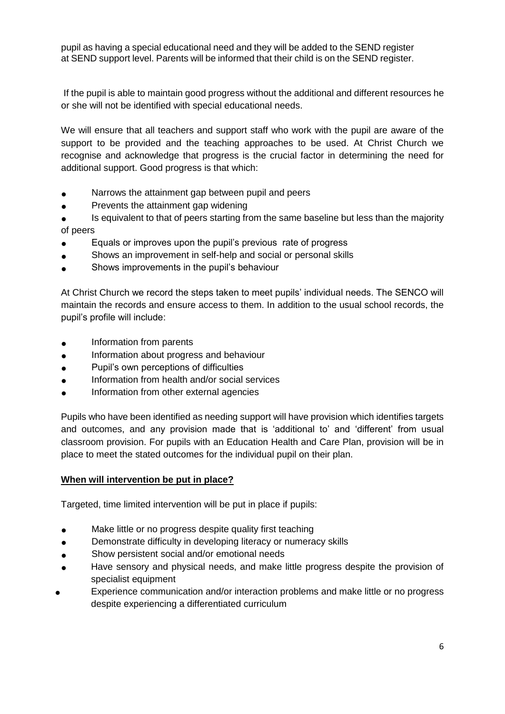pupil as having a special educational need and they will be added to the SEND register at SEND support level. Parents will be informed that their child is on the SEND register.

If the pupil is able to maintain good progress without the additional and different resources he or she will not be identified with special educational needs.

We will ensure that all teachers and support staff who work with the pupil are aware of the support to be provided and the teaching approaches to be used. At Christ Church we recognise and acknowledge that progress is the crucial factor in determining the need for additional support. Good progress is that which:

- Narrows the attainment gap between pupil and peers
- Prevents the attainment gap widening
- Is equivalent to that of peers starting from the same baseline but less than the majority of peers
- Equals or improves upon the pupil's previous rate of progress
- Shows an improvement in self-help and social or personal skills
- Shows improvements in the pupil's behaviour

At Christ Church we record the steps taken to meet pupils' individual needs. The SENCO will maintain the records and ensure access to them. In addition to the usual school records, the pupil's profile will include:

- Information from parents
- Information about progress and behaviour
- Pupil's own perceptions of difficulties
- Information from health and/or social services
- Information from other external agencies

Pupils who have been identified as needing support will have provision which identifies targets and outcomes, and any provision made that is 'additional to' and 'different' from usual classroom provision. For pupils with an Education Health and Care Plan, provision will be in place to meet the stated outcomes for the individual pupil on their plan.

# **When will intervention be put in place?**

Targeted, time limited intervention will be put in place if pupils:

- Make little or no progress despite quality first teaching
- Demonstrate difficulty in developing literacy or numeracy skills
- Show persistent social and/or emotional needs
- Have sensory and physical needs, and make little progress despite the provision of specialist equipment
- Experience communication and/or interaction problems and make little or no progress despite experiencing a differentiated curriculum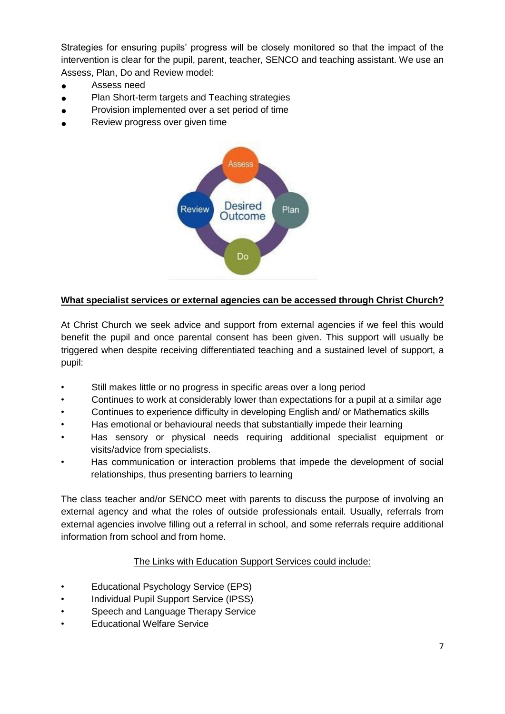Strategies for ensuring pupils' progress will be closely monitored so that the impact of the intervention is clear for the pupil, parent, teacher, SENCO and teaching assistant. We use an Assess, Plan, Do and Review model:

- Assess need
- Plan Short-term targets and Teaching strategies
- Provision implemented over a set period of time
- Review progress over given time



# **What specialist services or external agencies can be accessed through Christ Church?**

At Christ Church we seek advice and support from external agencies if we feel this would benefit the pupil and once parental consent has been given. This support will usually be triggered when despite receiving differentiated teaching and a sustained level of support, a pupil:

- Still makes little or no progress in specific areas over a long period
- Continues to work at considerably lower than expectations for a pupil at a similar age
- Continues to experience difficulty in developing English and/ or Mathematics skills
- Has emotional or behavioural needs that substantially impede their learning
- Has sensory or physical needs requiring additional specialist equipment or visits/advice from specialists.
- Has communication or interaction problems that impede the development of social relationships, thus presenting barriers to learning

The class teacher and/or SENCO meet with parents to discuss the purpose of involving an external agency and what the roles of outside professionals entail. Usually, referrals from external agencies involve filling out a referral in school, and some referrals require additional information from school and from home.

# The Links with Education Support Services could include:

- Educational Psychology Service (EPS)
- Individual Pupil Support Service (IPSS)
- Speech and Language Therapy Service
- Educational Welfare Service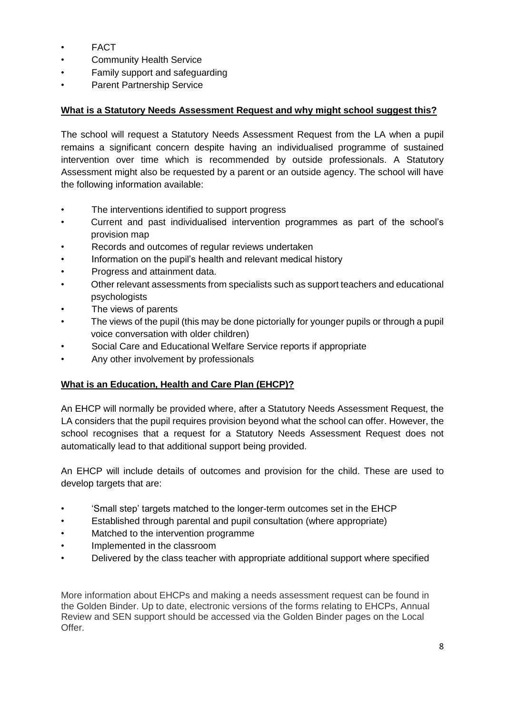- FACT
- **Community Health Service**
- Family support and safeguarding
- Parent Partnership Service

# **What is a Statutory Needs Assessment Request and why might school suggest this?**

The school will request a Statutory Needs Assessment Request from the LA when a pupil remains a significant concern despite having an individualised programme of sustained intervention over time which is recommended by outside professionals. A Statutory Assessment might also be requested by a parent or an outside agency. The school will have the following information available:

- The interventions identified to support progress
- Current and past individualised intervention programmes as part of the school's provision map
- Records and outcomes of regular reviews undertaken
- Information on the pupil's health and relevant medical history
- Progress and attainment data.
- Other relevant assessments from specialists such as support teachers and educational psychologists
- The views of parents
- The views of the pupil (this may be done pictorially for younger pupils or through a pupil voice conversation with older children)
- Social Care and Educational Welfare Service reports if appropriate
- Any other involvement by professionals

# **What is an Education, Health and Care Plan (EHCP)?**

An EHCP will normally be provided where, after a Statutory Needs Assessment Request, the LA considers that the pupil requires provision beyond what the school can offer. However, the school recognises that a request for a Statutory Needs Assessment Request does not automatically lead to that additional support being provided.

An EHCP will include details of outcomes and provision for the child. These are used to develop targets that are:

- 'Small step' targets matched to the longer-term outcomes set in the EHCP
- Established through parental and pupil consultation (where appropriate)
- Matched to the intervention programme
- Implemented in the classroom
- Delivered by the class teacher with appropriate additional support where specified

More information about EHCPs and making a needs assessment request can be found in the Golden Binder. Up to date, electronic versions of the forms relating to EHCPs, Annual Review and SEN support should be accessed via the Golden Binder pages on the Local Offer.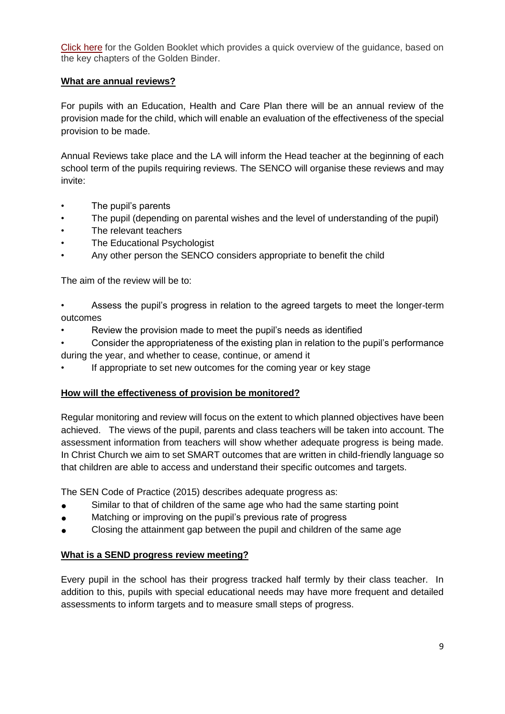[Click here](http://www.grandavenue.kingston.sch.uk/infocentre/SEN/TheGoldenBooklet%20no%20crop%20marks.pdf) for the Golden Booklet which provides a quick overview of the guidance, based on the key chapters of the Golden Binder.

#### **What are annual reviews?**

For pupils with an Education, Health and Care Plan there will be an annual review of the provision made for the child, which will enable an evaluation of the effectiveness of the special provision to be made.

Annual Reviews take place and the LA will inform the Head teacher at the beginning of each school term of the pupils requiring reviews. The SENCO will organise these reviews and may invite:

- The pupil's parents
- The pupil (depending on parental wishes and the level of understanding of the pupil)
- The relevant teachers
- The Educational Psychologist
- Any other person the SENCO considers appropriate to benefit the child

The aim of the review will be to:

- Assess the pupil's progress in relation to the agreed targets to meet the longer-term outcomes
- Review the provision made to meet the pupil's needs as identified
- Consider the appropriateness of the existing plan in relation to the pupil's performance
- during the year, and whether to cease, continue, or amend it
- If appropriate to set new outcomes for the coming year or key stage

# **How will the effectiveness of provision be monitored?**

Regular monitoring and review will focus on the extent to which planned objectives have been achieved. The views of the pupil, parents and class teachers will be taken into account. The assessment information from teachers will show whether adequate progress is being made. In Christ Church we aim to set SMART outcomes that are written in child-friendly language so that children are able to access and understand their specific outcomes and targets.

The SEN Code of Practice (2015) describes adequate progress as:

- Similar to that of children of the same age who had the same starting point
- Matching or improving on the pupil's previous rate of progress
- Closing the attainment gap between the pupil and children of the same age

#### **What is a SEND progress review meeting?**

Every pupil in the school has their progress tracked half termly by their class teacher. In addition to this, pupils with special educational needs may have more frequent and detailed assessments to inform targets and to measure small steps of progress.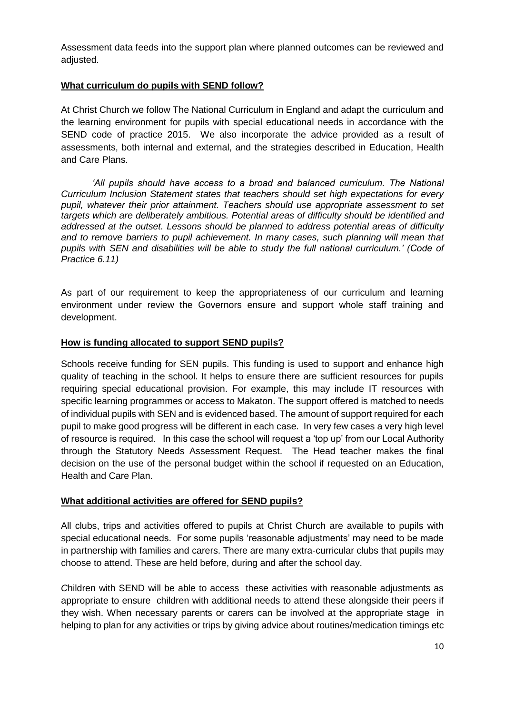Assessment data feeds into the support plan where planned outcomes can be reviewed and adjusted.

#### **What curriculum do pupils with SEND follow?**

At Christ Church we follow The National Curriculum in England and adapt the curriculum and the learning environment for pupils with special educational needs in accordance with the SEND code of practice 2015. We also incorporate the advice provided as a result of assessments, both internal and external, and the strategies described in Education, Health and Care Plans.

*All pupils should have access to a broad and balanced curriculum. The National Curriculum Inclusion Statement states that teachers should set high expectations for every pupil, whatever their prior attainment. Teachers should use appropriate assessment to set targets which are deliberately ambitious. Potential areas of difficulty should be identified and addressed at the outset. Lessons should be planned to address potential areas of difficulty and to remove barriers to pupil achievement. In many cases, such planning will mean that pupils with SEN and disabilities will be able to study the full national curriculum.' (Code of Practice 6.11)* 

As part of our requirement to keep the appropriateness of our curriculum and learning environment under review the Governors ensure and support whole staff training and development.

#### **How is funding allocated to support SEND pupils?**

Schools receive funding for SEN pupils. This funding is used to support and enhance high quality of teaching in the school. It helps to ensure there are sufficient resources for pupils requiring special educational provision. For example, this may include IT resources with specific learning programmes or access to Makaton. The support offered is matched to needs of individual pupils with SEN and is evidenced based. The amount of support required for each pupil to make good progress will be different in each case. In very few cases a very high level of resource is required. In this case the school will request a 'top up' from our Local Authority through the Statutory Needs Assessment Request. The Head teacher makes the final decision on the use of the personal budget within the school if requested on an Education, Health and Care Plan.

#### **What additional activities are offered for SEND pupils?**

All clubs, trips and activities offered to pupils at Christ Church are available to pupils with special educational needs. For some pupils 'reasonable adjustments' may need to be made in partnership with families and carers. There are many extra-curricular clubs that pupils may choose to attend. These are held before, during and after the school day.

*C*hildren with SEND will be able to access these activities with reasonable adjustments as appropriate to ensure children with additional needs to attend these alongside their peers if they wish. When necessary parents or carers can be involved at the appropriate stage in helping to plan for any activities or trips by giving advice about routines/medication timings etc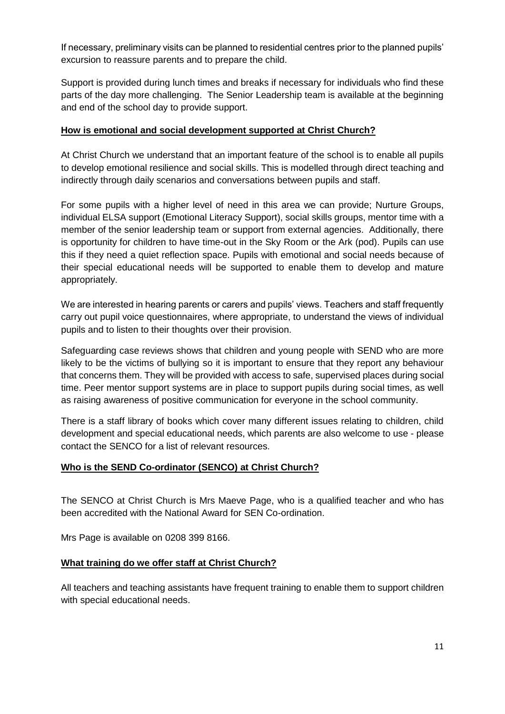If necessary, preliminary visits can be planned to residential centres prior to the planned pupils' excursion to reassure parents and to prepare the child.

Support is provided during lunch times and breaks if necessary for individuals who find these parts of the day more challenging. The Senior Leadership team is available at the beginning and end of the school day to provide support.

## **How is emotional and social development supported at Christ Church?**

At Christ Church we understand that an important feature of the school is to enable all pupils to develop emotional resilience and social skills. This is modelled through direct teaching and indirectly through daily scenarios and conversations between pupils and staff.

For some pupils with a higher level of need in this area we can provide; Nurture Groups, individual ELSA support (Emotional Literacy Support), social skills groups, mentor time with a member of the senior leadership team or support from external agencies. Additionally, there is opportunity for children to have time-out in the Sky Room or the Ark (pod). Pupils can use this if they need a quiet reflection space. Pupils with emotional and social needs because of their special educational needs will be supported to enable them to develop and mature appropriately.

We are interested in hearing parents or carers and pupils' views. Teachers and staff frequently carry out pupil voice questionnaires, where appropriate, to understand the views of individual pupils and to listen to their thoughts over their provision.

Safeguarding case reviews shows that children and young people with SEND who are more likely to be the victims of bullying so it is important to ensure that they report any behaviour that concerns them. They will be provided with access to safe, supervised places during social time. Peer mentor support systems are in place to support pupils during social times, as well as raising awareness of positive communication for everyone in the school community.

There is a staff library of books which cover many different issues relating to children, child development and special educational needs, which parents are also welcome to use - please contact the SENCO for a list of relevant resources.

# **Who is the SEND Co-ordinator (SENCO) at Christ Church?**

The SENCO at Christ Church is Mrs Maeve Page, who is a qualified teacher and who has been accredited with the National Award for SEN Co-ordination.

Mrs Page is available on 0208 399 8166.

# **What training do we offer staff at Christ Church?**

All teachers and teaching assistants have frequent training to enable them to support children with special educational needs.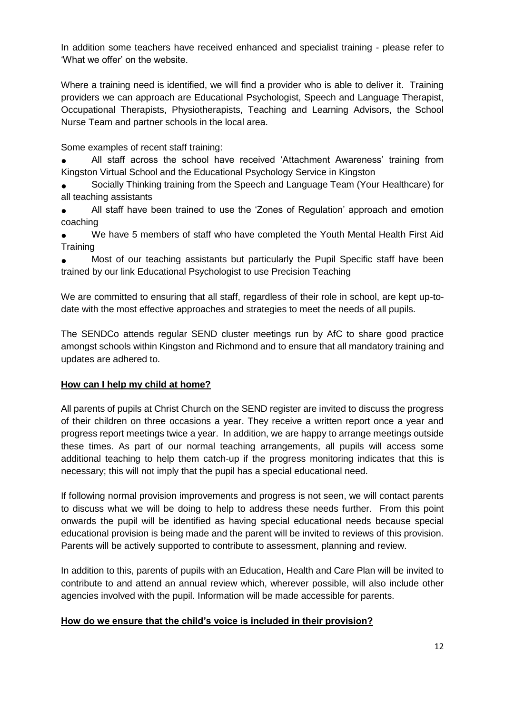In addition some teachers have received enhanced and specialist training - please refer to 'What we offer' on the website.

Where a training need is identified, we will find a provider who is able to deliver it. Training providers we can approach are Educational Psychologist, Speech and Language Therapist, Occupational Therapists, Physiotherapists, Teaching and Learning Advisors, the School Nurse Team and partner schools in the local area.

Some examples of recent staff training:

All staff across the school have received 'Attachment Awareness' training from Kingston Virtual School and the Educational Psychology Service in Kingston

Socially Thinking training from the Speech and Language Team (Your Healthcare) for all teaching assistants

● All staff have been trained to use the 'Zones of Regulation' approach and emotion coaching

We have 5 members of staff who have completed the Youth Mental Health First Aid **Training** 

Most of our teaching assistants but particularly the Pupil Specific staff have been trained by our link Educational Psychologist to use Precision Teaching

We are committed to ensuring that all staff, regardless of their role in school, are kept up-todate with the most effective approaches and strategies to meet the needs of all pupils.

The SENDCo attends regular SEND cluster meetings run by AfC to share good practice amongst schools within Kingston and Richmond and to ensure that all mandatory training and updates are adhered to.

# **How can I help my child at home?**

All parents of pupils at Christ Church on the SEND register are invited to discuss the progress of their children on three occasions a year. They receive a written report once a year and progress report meetings twice a year. In addition, we are happy to arrange meetings outside these times. As part of our normal teaching arrangements, all pupils will access some additional teaching to help them catch-up if the progress monitoring indicates that this is necessary; this will not imply that the pupil has a special educational need.

If following normal provision improvements and progress is not seen, we will contact parents to discuss what we will be doing to help to address these needs further. From this point onwards the pupil will be identified as having special educational needs because special educational provision is being made and the parent will be invited to reviews of this provision. Parents will be actively supported to contribute to assessment, planning and review.

In addition to this, parents of pupils with an Education, Health and Care Plan will be invited to contribute to and attend an annual review which, wherever possible, will also include other agencies involved with the pupil. Information will be made accessible for parents.

# **How do we ensure that the child's voice is included in their provision?**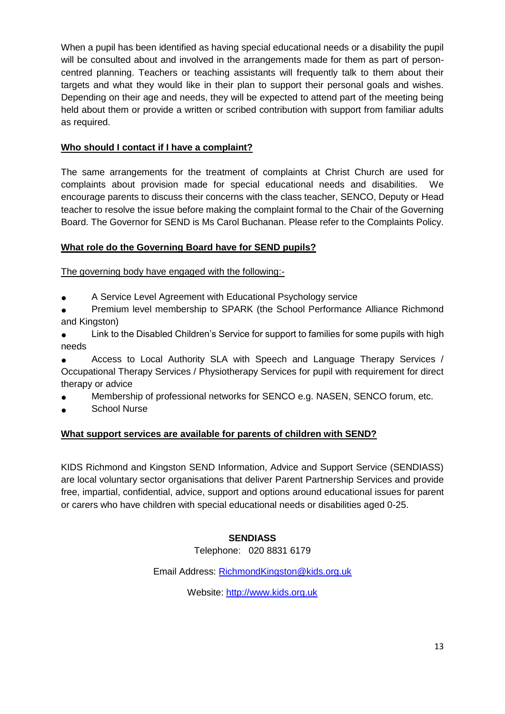When a pupil has been identified as having special educational needs or a disability the pupil will be consulted about and involved in the arrangements made for them as part of personcentred planning. Teachers or teaching assistants will frequently talk to them about their targets and what they would like in their plan to support their personal goals and wishes. Depending on their age and needs, they will be expected to attend part of the meeting being held about them or provide a written or scribed contribution with support from familiar adults as required.

# **Who should I contact if I have a complaint?**

The same arrangements for the treatment of complaints at Christ Church are used for complaints about provision made for special educational needs and disabilities. We encourage parents to discuss their concerns with the class teacher, SENCO, Deputy or Head teacher to resolve the issue before making the complaint formal to the Chair of the Governing Board. The Governor for SEND is Ms Carol Buchanan. Please refer to the Complaints Policy.

# **What role do the Governing Board have for SEND pupils?**

The governing body have engaged with the following:-

- A Service Level Agreement with Educational Psychology service
- Premium level membership to SPARK (the School Performance Alliance Richmond and Kingston)
- **•** Link to the Disabled Children's Service for support to families for some pupils with high needs

Access to Local Authority SLA with Speech and Language Therapy Services / Occupational Therapy Services / Physiotherapy Services for pupil with requirement for direct therapy or advice

- Membership of professional networks for SENCO e.g. NASEN, SENCO forum, etc.
- **School Nurse**

# **What support services are available for parents of children with SEND?**

KIDS Richmond and Kingston SEND Information, Advice and Support Service (SENDIASS) are local voluntary sector organisations that deliver Parent Partnership Services and provide free, impartial, confidential, advice, support and options around educational issues for parent or carers who have children with special educational needs or disabilities aged 0-25.

# **SENDIASS**

Telephone: 020 8831 6179

Email Address: [RichmondKingston@kids.org.uk](mailto:RichmondKingston@kids.org.uk)

Website: [http://www.kids.org.uk](http://www.kids.org.uk/)